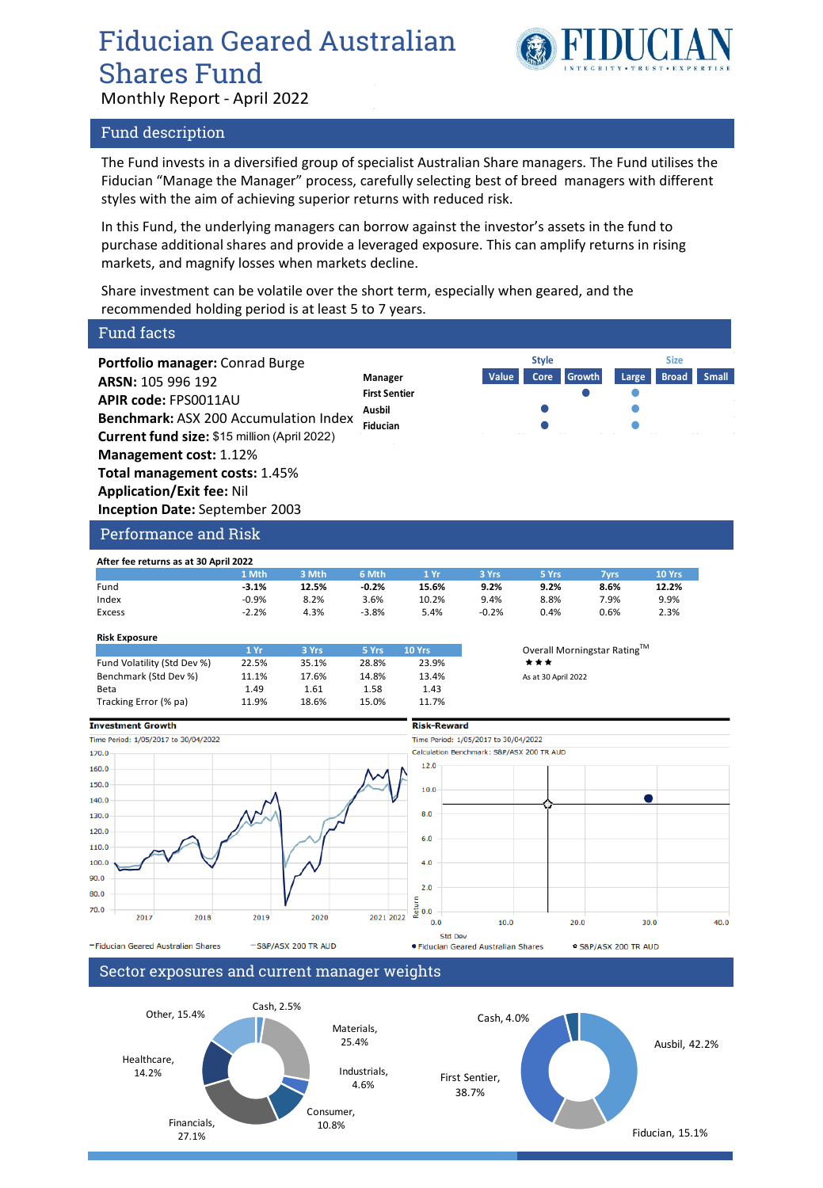# Fiducian Geared Australian Shares Fund



Monthly Report - April 2022

### Fund description

The Fund invests in a diversified group of specialist Australian Share managers. The Fund utilises the Fiducian "Manage the Manager" process, carefully selecting best of breed managers with different styles with the aim of achieving superior returns with reduced risk.

In this Fund, the underlying managers can borrow against the investor's assets in the fund to purchase additional shares and provide a leveraged exposure. This can amplify returns in rising markets, and magnify losses when markets decline.

Share investment can be volatile over the short term, especially when geared, and the recommended holding period is at least 5 to 7 years.